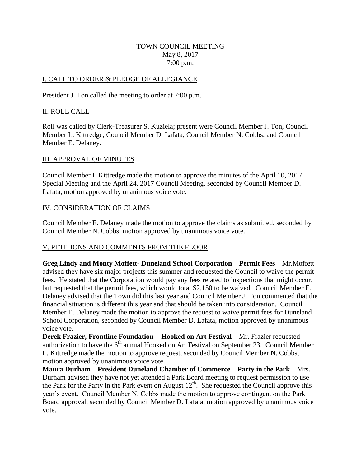#### TOWN COUNCIL MEETING May 8, 2017 7:00 p.m.

#### I. CALL TO ORDER & PLEDGE OF ALLEGIANCE

President J. Ton called the meeting to order at 7:00 p.m.

#### II. ROLL CALL

Roll was called by Clerk-Treasurer S. Kuziela; present were Council Member J. Ton, Council Member L. Kittredge, Council Member D. Lafata, Council Member N. Cobbs, and Council Member E. Delaney.

#### III. APPROVAL OF MINUTES

Council Member L Kittredge made the motion to approve the minutes of the April 10, 2017 Special Meeting and the April 24, 2017 Council Meeting, seconded by Council Member D. Lafata, motion approved by unanimous voice vote.

#### IV. CONSIDERATION OF CLAIMS

Council Member E. Delaney made the motion to approve the claims as submitted, seconded by Council Member N. Cobbs, motion approved by unanimous voice vote.

## V. PETITIONS AND COMMENTS FROM THE FLOOR

**Greg Lindy and Monty Moffett- Duneland School Corporation – Permit Fees** – Mr.Moffett advised they have six major projects this summer and requested the Council to waive the permit fees. He stated that the Corporation would pay any fees related to inspections that might occur, but requested that the permit fees, which would total \$2,150 to be waived. Council Member E. Delaney advised that the Town did this last year and Council Member J. Ton commented that the financial situation is different this year and that should be taken into consideration. Council Member E. Delaney made the motion to approve the request to waive permit fees for Duneland School Corporation, seconded by Council Member D. Lafata, motion approved by unanimous voice vote.

**Derek Frazier, Frontline Foundation - Hooked on Art Festival** – Mr. Frazier requested authorization to have the  $6<sup>th</sup>$  annual Hooked on Art Festival on September 23. Council Member L. Kittredge made the motion to approve request, seconded by Council Member N. Cobbs, motion approved by unanimous voice vote.

**Maura Durham – President Duneland Chamber of Commerce – Party in the Park** – Mrs. Durham advised they have not yet attended a Park Board meeting to request permission to use the Park for the Party in the Park event on August  $12<sup>th</sup>$ . She requested the Council approve this year's event. Council Member N. Cobbs made the motion to approve contingent on the Park Board approval, seconded by Council Member D. Lafata, motion approved by unanimous voice vote.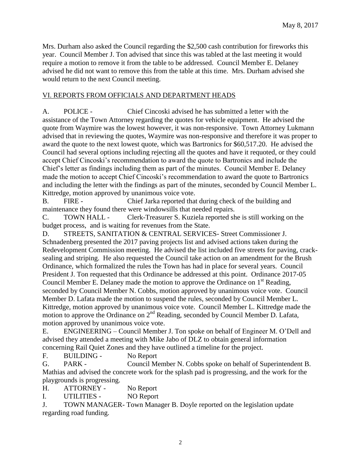Mrs. Durham also asked the Council regarding the \$2,500 cash contribution for fireworks this year. Council Member J. Ton advised that since this was tabled at the last meeting it would require a motion to remove it from the table to be addressed. Council Member E. Delaney advised he did not want to remove this from the table at this time. Mrs. Durham advised she would return to the next Council meeting.

#### VI. REPORTS FROM OFFICIALS AND DEPARTMENT HEADS

A. POLICE - Chief Cincoski advised he has submitted a letter with the assistance of the Town Attorney regarding the quotes for vehicle equipment. He advised the quote from Waymire was the lowest however, it was non-responsive. Town Attorney Lukmann advised that in reviewing the quotes, Waymire was non-responsive and therefore it was proper to award the quote to the next lowest quote, which was Bartronics for \$60,517.20. He advised the Council had several options including rejecting all the quotes and have it requoted, or they could accept Chief Cincoski's recommendation to award the quote to Bartronics and include the Chief's letter as findings including them as part of the minutes. Council Member E. Delaney made the motion to accept Chief Cincoski's recommendation to award the quote to Bartronics and including the letter with the findings as part of the minutes, seconded by Council Member L. Kittredge, motion approved by unanimous voice vote.

B. FIRE - Chief Jarka reported that during check of the building and maintenance they found there were windowsills that needed repairs.

C. TOWN HALL - Clerk-Treasurer S. Kuziela reported she is still working on the budget process, and is waiting for revenues from the State.

D. STREETS, SANITATION & CENTRAL SERVICES- Street Commissioner J. Schnadenberg presented the 2017 paving projects list and advised actions taken during the Redevelopment Commission meeting. He advised the list included five streets for paving, cracksealing and striping. He also requested the Council take action on an amendment for the Brush Ordinance, which formalized the rules the Town has had in place for several years. Council President J. Ton requested that this Ordinance be addressed at this point. Ordinance 2017-05 Council Member E. Delaney made the motion to approve the Ordinance on  $1<sup>st</sup>$  Reading, seconded by Council Member N. Cobbs, motion approved by unanimous voice vote. Council Member D. Lafata made the motion to suspend the rules, seconded by Council Member L. Kittredge, motion approved by unanimous voice vote. Council Member L. Kittredge made the motion to approve the Ordinance on 2<sup>nd</sup> Reading, seconded by Council Member D. Lafata, motion approved by unanimous voice vote.

E. ENGINEERING – Council Member J. Ton spoke on behalf of Engineer M. O'Dell and advised they attended a meeting with Mike Jabo of DLZ to obtain general information concerning Rail Quiet Zones and they have outlined a timeline for the project.

F. BUILDING - No Report

G. PARK - Council Member N. Cobbs spoke on behalf of Superintendent B. Mathias and advised the concrete work for the splash pad is progressing, and the work for the playgrounds is progressing.

H. ATTORNEY - No Report

I. UTILITIES - NO Report

J. TOWN MANAGER- Town Manager B. Doyle reported on the legislation update regarding road funding.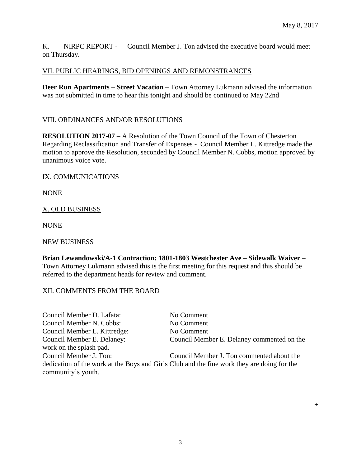$+$ 

K. NIRPC REPORT - Council Member J. Ton advised the executive board would meet on Thursday.

## VII. PUBLIC HEARINGS, BID OPENINGS AND REMONSTRANCES

**Deer Run Apartments – Street Vacation** – Town Attorney Lukmann advised the information was not submitted in time to hear this tonight and should be continued to May 22nd

## VIII. ORDINANCES AND/OR RESOLUTIONS

**RESOLUTION 2017-07** – A Resolution of the Town Council of the Town of Chesterton Regarding Reclassification and Transfer of Expenses - Council Member L. Kittredge made the motion to approve the Resolution, seconded by Council Member N. Cobbs, motion approved by unanimous voice vote.

## IX. COMMUNICATIONS

NONE

## X. OLD BUSINESS

NONE

## NEW BUSINESS

**Brian Lewandowski/A-1 Contraction: 1801-1803 Westchester Ave – Sidewalk Waiver** – Town Attorney Lukmann advised this is the first meeting for this request and this should be referred to the department heads for review and comment.

## XII. COMMENTS FROM THE BOARD

Council Member D. Lafata: No Comment Council Member N. Cobbs: No Comment Council Member L. Kittredge: No Comment Council Member E. Delaney: Council Member E. Delaney commented on the work on the splash pad. Council Member J. Ton: Council Member J. Ton commented about the dedication of the work at the Boys and Girls Club and the fine work they are doing for the community's youth.